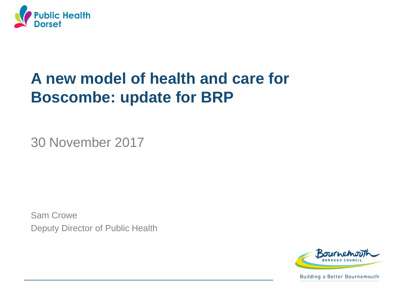

## **A new model of health and care for Boscombe: update for BRP**

30 November 2017

Sam Crowe Deputy Director of Public Health



**Building a Better Bournemouth**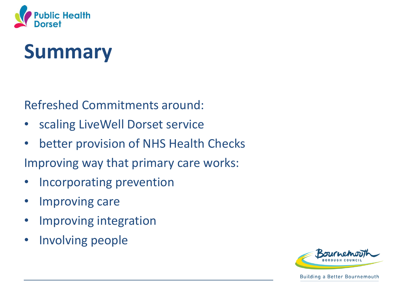

# **Summary**

Refreshed Commitments around:

- scaling LiveWell Dorset service
- better provision of NHS Health Checks
- Improving way that primary care works:
- Incorporating prevention
- Improving care
- Improving integration
- Involving people

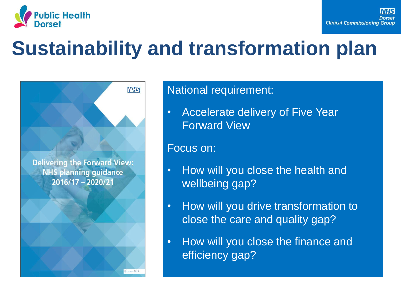

# **Sustainability and transformation plan**

**Delivering the Forward View: NHS planning guidance** 2016/17 - 2020/21

**NHS** 

ecember 201

### National requirement:

• Accelerate delivery of Five Year Forward View

#### Focus on:

- How will you close the health and wellbeing gap?
- How will you drive transformation to close the care and quality gap?
- How will you close the finance and efficiency gap?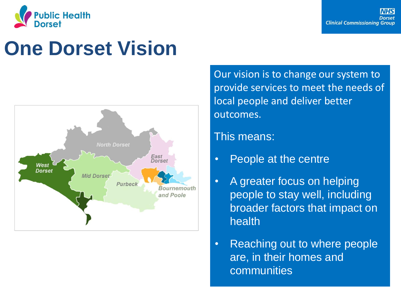

# **One Dorset Vision**



Our vision is to change our system to provide services to meet the needs of local people and deliver better outcomes.

### This means:

- People at the centre
- A greater focus on helping people to stay well, including broader factors that impact on health
- Reaching out to where people are, in their homes and communities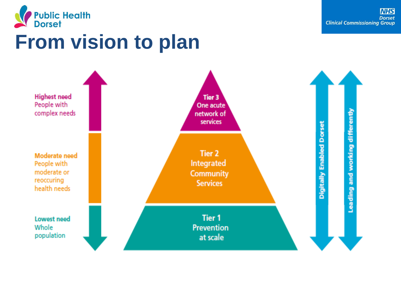

# **From vision to plan**

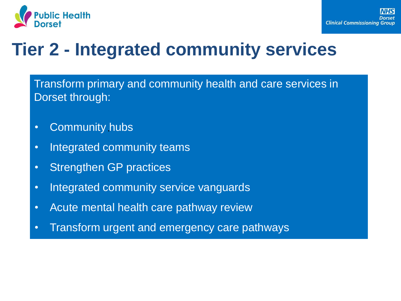

## **Tier 2 - Integrated community services**

Transform primary and community health and care services in Dorset through:

- Community hubs
- Integrated community teams
- Strengthen GP practices
- Integrated community service vanguards
- Acute mental health care pathway review
- Transform urgent and emergency care pathways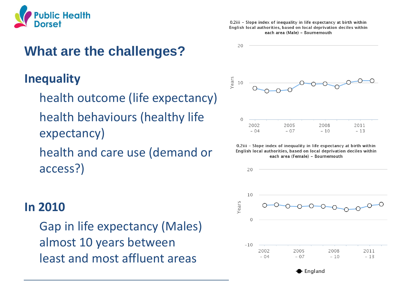

### **What are the challenges?**

### **Inequality**

- health outcome (life expectancy) health behaviours (healthy life expectancy)
- health and care use (demand or access?)

### **In 2010**

Gap in life expectancy (Males) almost 10 years between least and most affluent areas

0.2iii - Slope index of inequality in life expectancy at birth within English local authorities, based on local deprivation deciles within each area (Male) - Bournemouth



0.2iii - Slope index of inequality in life expectancy at birth within English local authorities, based on local deprivation deciles within each area (Female) - Bournemouth

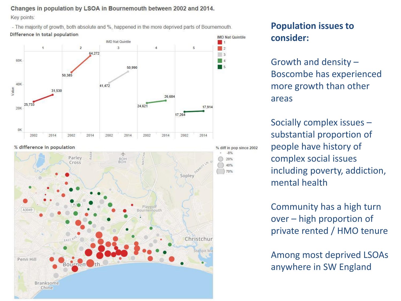Changes in population by LSOA in Bournemouth between 2002 and 2014. Key points:

- The majority of growth, both absolute and %, happened in the more deprived parts of Bournemouth. Difference in total population



#### **Population issues to consider:**

Growth and density – Boscombe has experienced more growth than other areas

Socially complex issues – substantial proportion of people have history of complex social issues including poverty, addiction, mental health

Community has a high turn over – high proportion of private rented / HMO tenure

Among most deprived LSOAs anywhere in SW England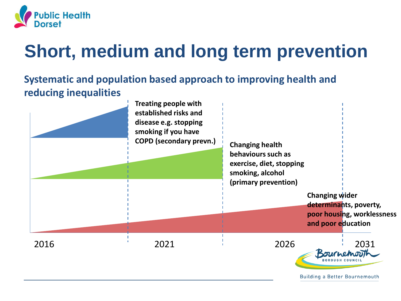

## **Short, medium and long term prevention**

### **Systematic and population based approach to improving health and reducing inequalities**

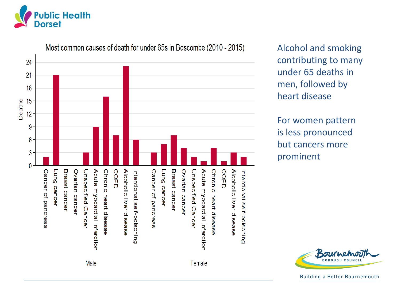



Alcohol and smoking contributing to many under 65 deaths in men, followed by heart disease

For women pattern is less pronounced but cancers more prominent



**Building a Better Bournemouth**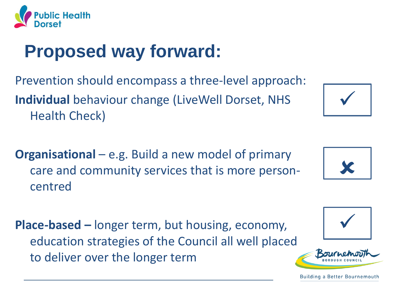

## **Proposed way forward:**

Prevention should encompass a three-level approach: **Individual** behaviour change (LiveWell Dorset, NHS Health Check)

**Organisational** – e.g. Build a new model of primary care and community services that is more personcentred

**Place-based –** longer term, but housing, economy, education strategies of the Council all well placed to deliver over the longer term



Building a Better Bournemouth







✓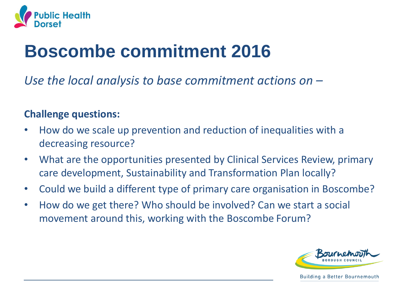

## **Boscombe commitment 2016**

*Use the local analysis to base commitment actions on –*

### **Challenge questions:**

- How do we scale up prevention and reduction of inequalities with a decreasing resource?
- What are the opportunities presented by Clinical Services Review, primary care development, Sustainability and Transformation Plan locally?
- Could we build a different type of primary care organisation in Boscombe?
- How do we get there? Who should be involved? Can we start a social movement around this, working with the Boscombe Forum?

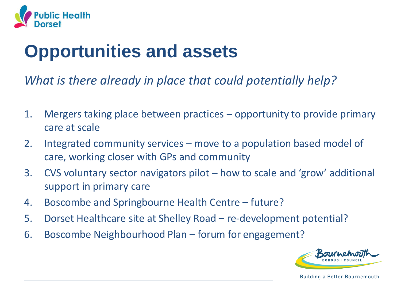

## **Opportunities and assets**

*What is there already in place that could potentially help?*

- 1. Mergers taking place between practices opportunity to provide primary care at scale
- 2. Integrated community services move to a population based model of care, working closer with GPs and community
- 3. CVS voluntary sector navigators pilot how to scale and 'grow' additional support in primary care
- 4. Boscombe and Springbourne Health Centre future?
- 5. Dorset Healthcare site at Shelley Road re-development potential?
- 6. Boscombe Neighbourhood Plan forum for engagement?